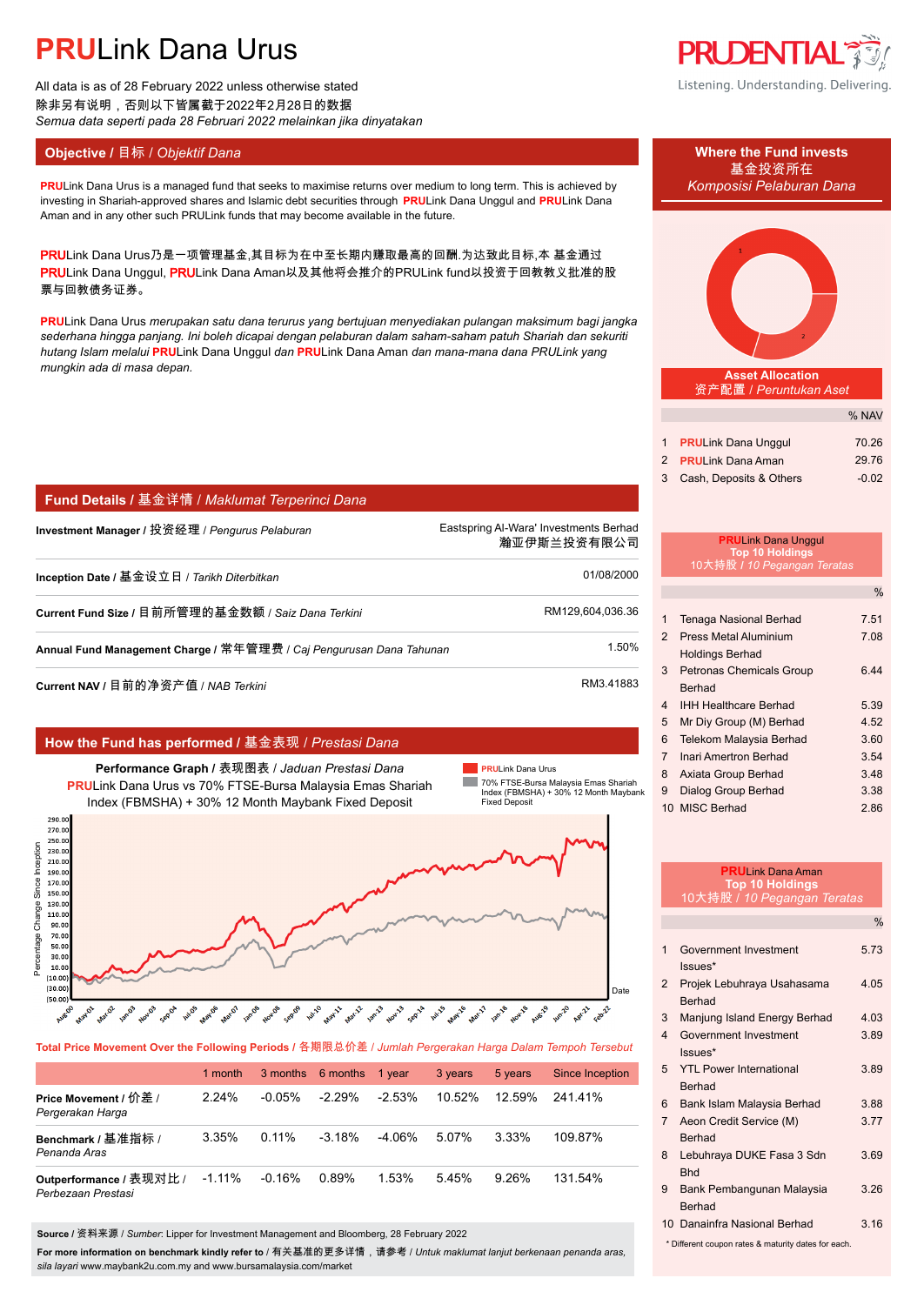All data is as of 28 February 2022 unless otherwise stated 除非另有说明,否则以下皆属截于2022年2月28日的数据 *Semua data seperti pada 28 Februari 2022 melainkan jika dinyatakan*

#### **Objective /** 目标 / *Objektif Dana* **Where the Fund invests**

#### **PRU**Link Dana Urus is a managed fund that seeks to maximise returns over medium to long term. This is achieved by *Komposisi Pelaburan Dana* investing in Shariah-approved shares and Islamic debt securities through **PRU**Link Dana Unggul and **PRU**Link Dana Aman and in any other such PRULink funds that may become available in the future.

PRULink Dana Urus乃是一项管理基金,其目标为在中至长期内赚取最高的回酬.为达致此目标,本 基金通过 PRULink Dana Unggul, PRULink Dana Aman以及其他将会推介的PRULink fund以投资于回教教义批准的股 票与回教债务证券。

**PRU**Link Dana Urus *merupakan satu dana terurus yang bertujuan menyediakan pulangan maksimum bagi jangka sederhana hingga panjang. Ini boleh dicapai dengan pelaburan dalam saham-saham patuh Shariah dan sekuriti hutang Islam melalui* **PRU**Link Dana Unggul *dan* **PRU**Link Dana Aman *dan mana-mana dana PRULink yang mungkin ada di masa depan.*

#### **Fund Details /** 基金详情 / *Maklumat Terperinci Dana*

**Investment Manager /** 投资经理 / *Pengurus Pelaburan* Eastspring Al-Wara' Investments Berhad.

瀚亚伊斯兰投资有限公司.

**PRU**Link Dana Urus

**COL** 

Date

| Inception Date / 基金设立日 / Tarikh Diterbitkan_                        | 01/08/2000       |
|---------------------------------------------------------------------|------------------|
| Current Fund Size / 目前所管理的基金数额 / Saiz Dana Terkini                  | RM129.604.036.36 |
| Annual Fund Management Charge / 常年管理费 / Caj Pengurusan Dana Tahunan | 1.50%            |

**Current NAV /** 目前的净资产值 / *NAB Terkini* RM3.41883

Percentage Change Since Inception

Percentage

30.0  $10.0$  $(10.00)$  $(30.00)$  $(50.00)$ 

Change Since Inception

250.0

#### **How the Fund has performed /** 基金表现 / *Prestasi Dana*

**hul.**05





**Total Price Movement Over the Following Periods /** 各期限总价差 / *Jumlah Pergerakan Harga Dalam Tempoh Tersebut*

wants wants you are going only using wants wants only and going wants which wants wants wants

|                                               | 1 month   |          | 3 months 6 months | 1 vear   | 3 years   | 5 years  | Since Inception |
|-----------------------------------------------|-----------|----------|-------------------|----------|-----------|----------|-----------------|
| Price Movement / 价差 /<br>Pergerakan Harga     | $2.24\%$  | -0.05%   | $-2.29\%$         | $-2.53%$ | $10.52\%$ | 12.59%   | 24141%          |
| Benchmark / 基准指标 /<br>Penanda Aras            | 3.35%     | $0.11\%$ | $-3.18%$          | -4.06%   | 5.07%     | 3.33%    | 109.87%         |
| Outperformance / 表现对比 /<br>Perbezaan Prestasi | $-1.11\%$ | $-0.16%$ | 0.89%             | 1.53%    | 5.45%     | $9.26\%$ | 131.54%         |

**Source /** 资料来源 / *Sumber*: Lipper for Investment Management and Bloomberg, 28 February 2022

**For more information on benchmark kindly refer to** / 有关基准的更多详情,请参考 / *Untuk maklumat lanjut berkenaan penanda aras, sila layari* www.maybank2u.com.my and www.bursamalaysia.com/market



Listening. Understanding. Delivering.

# 基金投资所在



**Asset Allocation** 资产配置 / *Peruntukan Aset*

|                           | % NAV   |
|---------------------------|---------|
|                           |         |
| 1 PRULink Dana Unggul     | 70.26   |
| 2 PRULink Dana Aman       | 29.76   |
| 3 Cash, Deposits & Others | $-0.02$ |

### **PRU**Link Dana Unggul **Top 10 Holdings** 10大持股 **/** *10 Pegangan Teratas* 1 Tenaga Nasional Berhad 7.51

 $\frac{0}{6}$ 

| $\mathcal{P}$  | <b>Press Metal Aluminium</b>    | 7.08 |
|----------------|---------------------------------|------|
|                | <b>Holdings Berhad</b>          |      |
| 3              | <b>Petronas Chemicals Group</b> | ჩ 44 |
|                | Berhad                          |      |
| $\overline{4}$ | <b>IHH Healthcare Berhad</b>    | 5.39 |
| 5              | Mr Diy Group (M) Berhad         | 4.52 |
| 6              | Telekom Malaysia Berhad         | 3.60 |
| $\overline{7}$ | Inari Amertron Berhad           | 3.54 |
| 8              | Axiata Group Berhad             | 3.48 |
| 9              | Dialog Group Berhad             | 3.38 |
|                | 10 MISC Berhad                  | 2.86 |

|                 | <b>PRUI</b> ink Dana Aman<br><b>Top 10 Holdings</b><br><u> 10大持股 / 10 Pegangan Teratas</u> |               |
|-----------------|--------------------------------------------------------------------------------------------|---------------|
|                 |                                                                                            | $\frac{0}{0}$ |
| 1               | Government Investment<br>Issues*                                                           | 5.73          |
| $\mathcal{P}$   | Projek Lebuhraya Usahasama<br><b>Berhad</b>                                                | 4.05          |
| 3               | Manjung Island Energy Berhad                                                               | 4 0 3         |
| $\Delta$        | Government Investment<br>Issues*                                                           | 3.89          |
| 5               | <b>YTI Power International</b><br><b>Berhad</b>                                            | 389           |
| 6               | Bank Islam Malaysia Berhad                                                                 | 3.88          |
| $7^{\circ}$     | Aeon Credit Service (M)<br><b>Berhad</b>                                                   | 3.77          |
| 8<br><b>Rhd</b> | Lebuhraya DUKE Fasa 3 Sdn                                                                  | 3.69          |
| 9               | Bank Pembangunan Malaysia<br><b>Berhad</b>                                                 | 3.26          |
|                 | 10 Danainfra Nasional Berhad                                                               | 3.16          |
|                 | * Different coupon rates & maturity dates for each.                                        |               |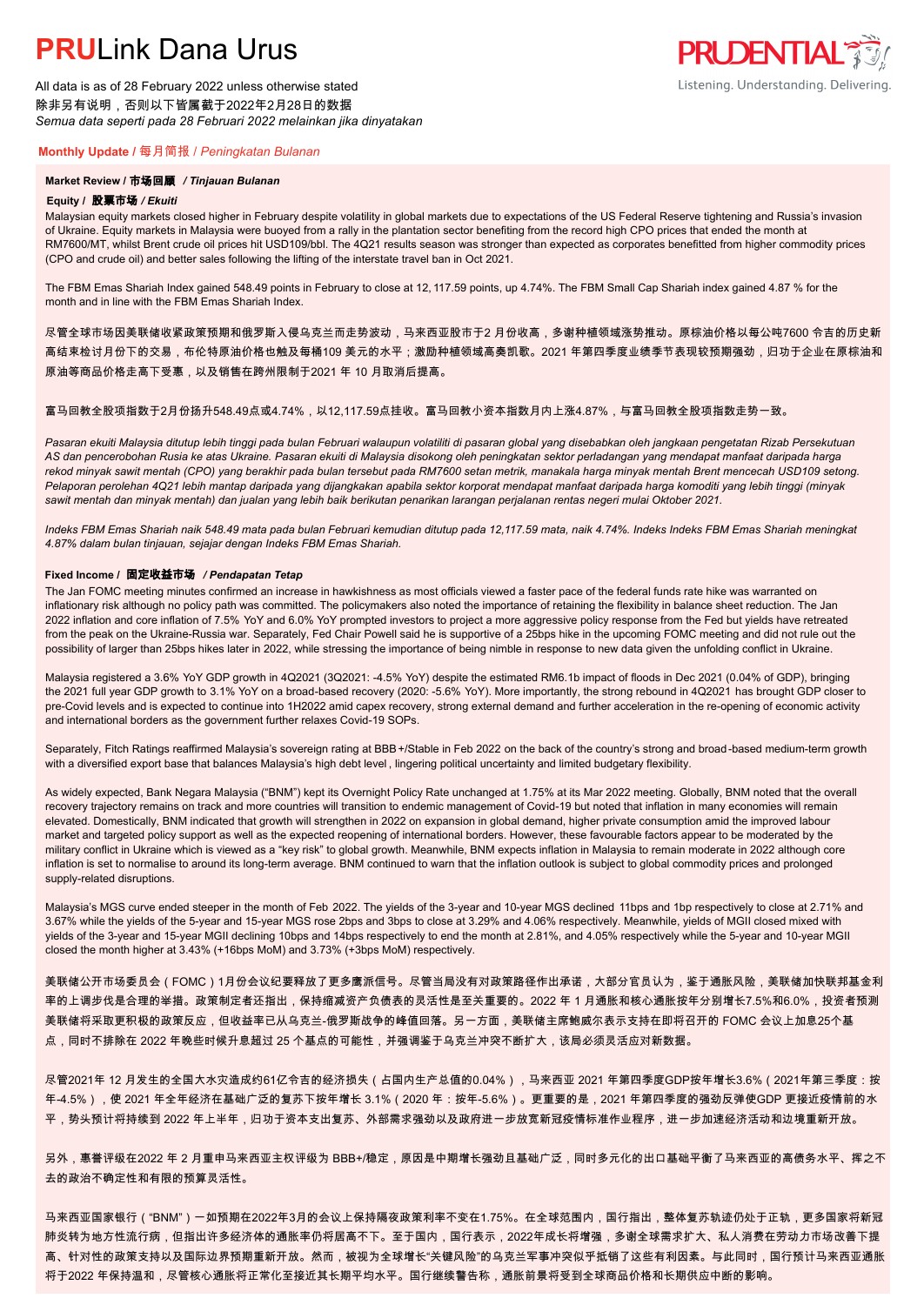All data is as of 28 February 2022 unless otherwise stated 除非另有说明,否则以下皆属截于2022年2月28日的数据 *Semua data seperti pada 28 Februari 2022 melainkan jika dinyatakan*

#### **Monthly Update /** 每月简报 / *Peningkatan Bulanan*

#### **Market Review /** 市场回顾 */ Tinjauan Bulanan*

#### **Equity /** 股票市场 */ Ekuiti.*

Malaysian equity markets closed higher in February despite volatility in global markets due to expectations of the US Federal Reserve tightening and Russia's invasion of Ukraine. Equity markets in Malaysia were buoyed from a rally in the plantation sector benefiting from the record high CPO prices that ended the month at RM7600/MT, whilst Brent crude oil prices hit USD109/bbl. The 4Q21 results season was stronger than expected as corporates benefitted from higher commodity prices (CPO and crude oil) and better sales following the lifting of the interstate travel ban in Oct 2021.

The FBM Emas Shariah Index gained 548.49 points in February to close at 12, 117.59 points, up 4.74%. The FBM Small Cap Shariah index gained 4.87 % for the month and in line with the FBM Emas Shariah Index.

尽管全球市场因美联储收紧政策预期和俄罗斯入侵乌克兰而走势波动,马来西亚股市于2 月份收高,多谢种植领域涨势推动。原棕油价格以每公吨7600 令吉的历史新 高结束检讨月份下的交易,布伦特原油价格也触及每桶109 美元的水平;激励种植领域高奏凯歌。2021 年第四季度业绩季节表现较预期强劲,归功于企业在原棕油和 原油等商品价格走高下受惠,以及销售在跨州限制于2021 年 10 月取消后提高。

#### 富马回教全股项指数于2月份扬升548.49点或4.74%,以12.117.59点挂收。富马回教小资本指数月内上涨4.87%,与富马回教全股项指数走势一致。

*Pasaran ekuiti Malaysia ditutup lebih tinggi pada bulan Februari walaupun volatiliti di pasaran global yang disebabkan oleh jangkaan pengetatan Rizab Persekutuan AS dan pencerobohan Rusia ke atas Ukraine. Pasaran ekuiti di Malaysia disokong oleh peningkatan sektor perladangan yang mendapat manfaat daripada harga rekod minyak sawit mentah (CPO) yang berakhir pada bulan tersebut pada RM7600 setan metrik, manakala harga minyak mentah Brent mencecah USD109 setong. Pelaporan perolehan 4Q21 lebih mantap daripada yang dijangkakan apabila sektor korporat mendapat manfaat daripada harga komoditi yang lebih tinggi (minyak sawit mentah dan minyak mentah) dan jualan yang lebih baik berikutan penarikan larangan perjalanan rentas negeri mulai Oktober 2021.*

*Indeks FBM Emas Shariah naik 548.49 mata pada bulan Februari kemudian ditutup pada 12,117.59 mata, naik 4.74%. Indeks Indeks FBM Emas Shariah meningkat 4.87% dalam bulan tinjauan, sejajar dengan Indeks FBM Emas Shariah.*

#### **Fixed Income /** 固定收益市场 */ Pendapatan Tetap*

*.* The Jan FOMC meeting minutes confirmed an increase in hawkishness as most officials viewed a faster pace of the federal funds rate hike was warranted on inflationary risk although no policy path was committed. The policymakers also noted the importance of retaining the flexibility in balance sheet reduction. The Jan 2022 inflation and core inflation of 7.5% YoY and 6.0% YoY prompted investors to project a more aggressive policy response from the Fed but yields have retreated from the peak on the Ukraine-Russia war. Separately, Fed Chair Powell said he is supportive of a 25bps hike in the upcoming FOMC meeting and did not rule out the possibility of larger than 25bps hikes later in 2022, while stressing the importance of being nimble in response to new data given the unfolding conflict in Ukraine.

Malaysia registered a 3.6% YoY GDP growth in 4Q2021 (3Q2021: -4.5% YoY) despite the estimated RM6.1b impact of floods in Dec 2021 (0.04% of GDP), bringing the 2021 full year GDP growth to 3.1% YoY on a broad-based recovery (2020: -5.6% YoY). More importantly, the strong rebound in 4Q2021 has brought GDP closer to pre-Covid levels and is expected to continue into 1H2022 amid capex recovery, strong external demand and further acceleration in the re-opening of economic activity and international borders as the government further relaxes Covid-19 SOPs.

Separately, Fitch Ratings reaffirmed Malaysia's sovereign rating at BBB+/Stable in Feb 2022 on the back of the country's strong and broad-based medium-term growth with a diversified export base that balances Malaysia's high debt level , lingering political uncertainty and limited budgetary flexibility.

As widely expected, Bank Negara Malaysia ("BNM") kept its Overnight Policy Rate unchanged at 1.75% at its Mar 2022 meeting. Globally, BNM noted that the overall recovery trajectory remains on track and more countries will transition to endemic management of Covid-19 but noted that inflation in many economies will remain elevated. Domestically, BNM indicated that growth will strengthen in 2022 on expansion in global demand, higher private consumption amid the improved labour market and targeted policy support as well as the expected reopening of international borders. However, these favourable factors appear to be moderated by the military conflict in Ukraine which is viewed as a "key risk" to global growth. Meanwhile, BNM expects inflation in Malaysia to remain moderate in 2022 although core inflation is set to normalise to around its long-term average. BNM continued to warn that the inflation outlook is subject to global commodity prices and prolonged supply-related disruptions.

Malaysia's MGS curve ended steeper in the month of Feb 2022. The yields of the 3-year and 10-year MGS declined 11bps and 1bp respectively to close at 2.71% and 3.67% while the yields of the 5-year and 15-year MGS rose 2bps and 3bps to close at 3.29% and 4.06% respectively. Meanwhile, yields of MGII closed mixed with yields of the 3-year and 15-year MGII declining 10bps and 14bps respectively to end the month at 2.81%, and 4.05% respectively while the 5-year and 10-year MGII closed the month higher at 3.43% (+16bps MoM) and 3.73% (+3bps MoM) respectively.

美联储公开市场委员会(FOMC)1月份会议纪要释放了更多鹰派信号。尽管当局没有对政策路径作出承诺,大部分官员认为,鉴于通胀风险,美联储加快联邦基金利 率的上调步伐是合理的举措。政策制定者还指出,保持缩减资产负债表的灵活性是至关重要的。2022 年 1 月通胀和核心通胀按年分别增长7.5%和6.0%,投资者预测 美联储将采取更积极的政策反应,但收益率已从乌克兰-俄罗斯战争的峰值回落。另一方面,美联储主席鲍威尔表示支持在即将召开的 FOMC 会议上加息25个基 点,同时不排除在 2022 年晚些时候升息超过 25 个基点的可能性,并强调鉴于乌克兰冲突不断扩大,该局必须灵活应对新数据。

尽管2021年 12 月发生的全国大水灾造成约61亿令吉的经济损失(占国内生产总值的0.04%),马来西亚 2021 年第四季度GDP按年增长3.6%(2021年第三季度:按 年-4.5%),使 2021 年全年经济在基础广泛的复苏下按年增长 3.1%(2020 年:按年-5.6%)。更重要的是,2021 年第四季度的强劲反弹使GDP 更接近疫情前的水 平,势头预计将持续到 2022 年上半年,归功于资本支出复苏、外部需求强劲以及政府进一步放宽新冠疫情标准作业程序,进一步加速经济活动和边境重新开放。

另外,惠誉评级在2022 年 2 月重申马来西亚主权评级为 BBB+/稳定,原因是中期增长强劲且基础广泛,同时多元化的出口基础平衡了马来西亚的高债务水平、挥之不 去的政治不确定性和有限的预算灵活性。

马来西亚国家银行("BNM")一如预期在2022年3月的会议上保持隔夜政策利率不变在1.75%。在全球范围内,国行指出,整体复苏轨迹仍处于正轨,更多国家将新冠 肺炎转为地方性流行病,但指出许多经济体的通胀率仍将居高不下。至于国内,国行表示,2022年成长将增强,多谢全球需求扩大、私人消费在劳动力市场改善下提 高、针对性的政策支持以及国际边界预期重新开放。然而,被视为全球增长"关键风险"的乌克兰军事冲突似乎抵销了这些有利因素。与此同时,国行预计马来西亚通胀 将于2022 年保持温和,尽管核心通胀将正常化至接近其长期平均水平。国行继续警告称,通胀前景将受到全球商品价格和长期供应中断的影响。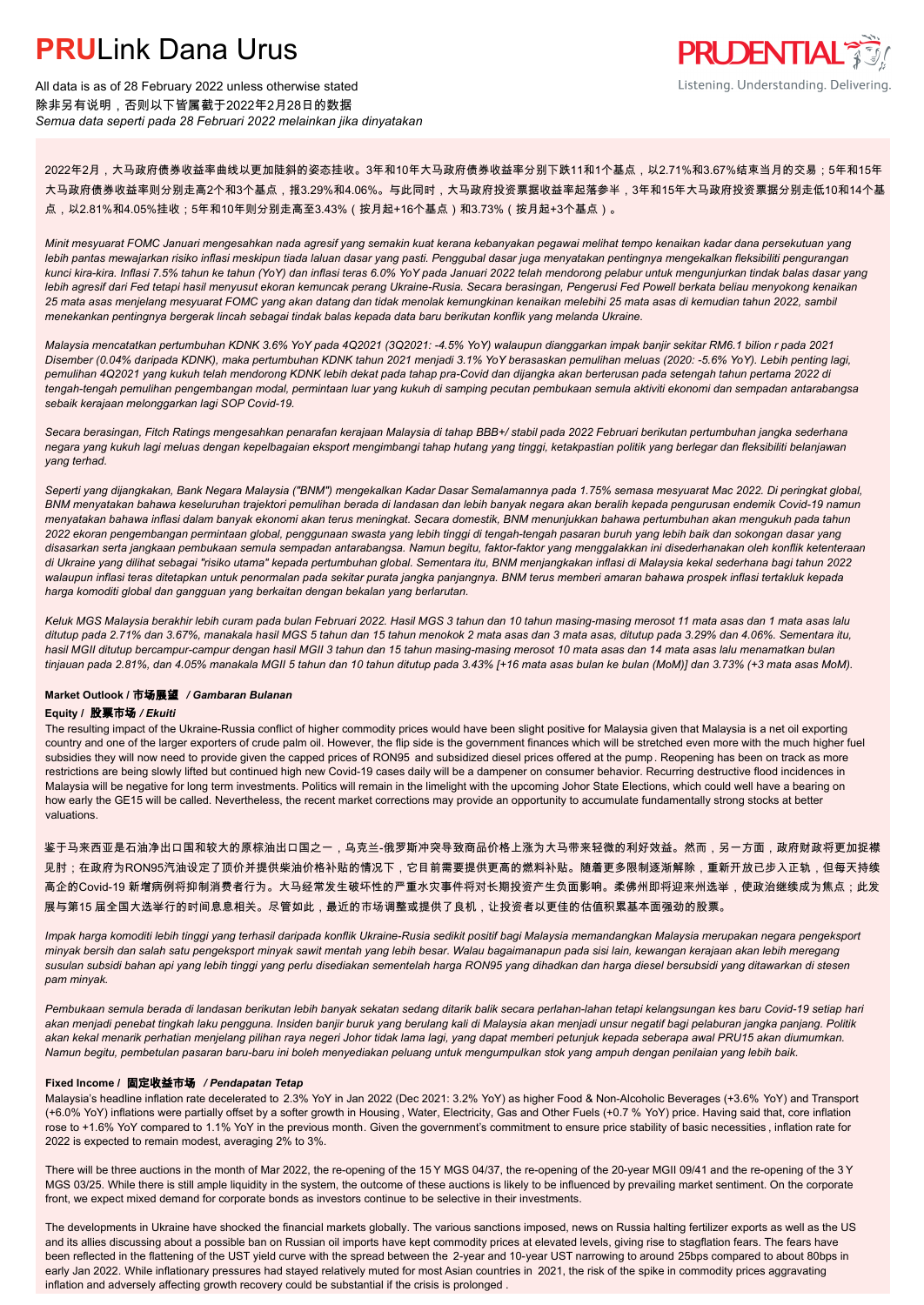

All data is as of 28 February 2022 unless otherwise stated 除非另有说明,否则以下皆属截于2022年2月28日的数据 *Semua data seperti pada 28 Februari 2022 melainkan jika dinyatakan*

2022年2月,大马政府债券收益率曲线以更加陡斜的姿态挂收。3年和10年大马政府债券收益率分别下跌11和1个基点,以2.71%和3.67%结束当月的交易;5年和15年 大马政府债券收益率则分别走高2个和3个基点,报3.29%和4.06%。与此同时,大马政府投资票据收益率起落参半,3年和15年大马政府投资票据分别走低10和14个基 点,以2.81%和4.05%挂收;5年和10年则分别走高至3.43%(按月起+16个基点)和3.73%(按月起+3个基点)。

*Minit mesyuarat FOMC Januari mengesahkan nada agresif yang semakin kuat kerana kebanyakan pegawai melihat tempo kenaikan kadar dana persekutuan yang lebih pantas mewajarkan risiko inflasi meskipun tiada laluan dasar yang pasti. Penggubal dasar juga menyatakan pentingnya mengekalkan fleksibiliti pengurangan kunci kira-kira. Inflasi 7.5% tahun ke tahun (YoY) dan inflasi teras 6.0% YoY pada Januari 2022 telah mendorong pelabur untuk mengunjurkan tindak balas dasar yang lebih agresif dari Fed tetapi hasil menyusut ekoran kemuncak perang Ukraine-Rusia. Secara berasingan, Pengerusi Fed Powell berkata beliau menyokong kenaikan 25 mata asas menjelang mesyuarat FOMC yang akan datang dan tidak menolak kemungkinan kenaikan melebihi 25 mata asas di kemudian tahun 2022, sambil menekankan pentingnya bergerak lincah sebagai tindak balas kepada data baru berikutan konflik yang melanda Ukraine.*

*Malaysia mencatatkan pertumbuhan KDNK 3.6% YoY pada 4Q2021 (3Q2021: -4.5% YoY) walaupun dianggarkan impak banjir sekitar RM6.1 bilion r pada 2021 Disember (0.04% daripada KDNK), maka pertumbuhan KDNK tahun 2021 menjadi 3.1% YoY berasaskan pemulihan meluas (2020: -5.6% YoY). Lebih penting lagi, pemulihan 4Q2021 yang kukuh telah mendorong KDNK lebih dekat pada tahap pra-Covid dan dijangka akan berterusan pada setengah tahun pertama 2022 di tengah-tengah pemulihan pengembangan modal, permintaan luar yang kukuh di samping pecutan pembukaan semula aktiviti ekonomi dan sempadan antarabangsa sebaik kerajaan melonggarkan lagi SOP Covid-19.*

*Secara berasingan, Fitch Ratings mengesahkan penarafan kerajaan Malaysia di tahap BBB+/ stabil pada 2022 Februari berikutan pertumbuhan jangka sederhana negara yang kukuh lagi meluas dengan kepelbagaian eksport mengimbangi tahap hutang yang tinggi, ketakpastian politik yang berlegar dan fleksibiliti belanjawan yang terhad.*

*Seperti yang dijangkakan, Bank Negara Malaysia ("BNM") mengekalkan Kadar Dasar Semalamannya pada 1.75% semasa mesyuarat Mac 2022. Di peringkat global, BNM menyatakan bahawa keseluruhan trajektori pemulihan berada di landasan dan lebih banyak negara akan beralih kepada pengurusan endemik Covid-19 namun menyatakan bahawa inflasi dalam banyak ekonomi akan terus meningkat. Secara domestik, BNM menunjukkan bahawa pertumbuhan akan mengukuh pada tahun 2022 ekoran pengembangan permintaan global, penggunaan swasta yang lebih tinggi di tengah-tengah pasaran buruh yang lebih baik dan sokongan dasar yang disasarkan serta jangkaan pembukaan semula sempadan antarabangsa. Namun begitu, faktor-faktor yang menggalakkan ini disederhanakan oleh konflik ketenteraan di Ukraine yang dilihat sebagai "risiko utama" kepada pertumbuhan global. Sementara itu, BNM menjangkakan inflasi di Malaysia kekal sederhana bagi tahun 2022 walaupun inflasi teras ditetapkan untuk penormalan pada sekitar purata jangka panjangnya. BNM terus memberi amaran bahawa prospek inflasi tertakluk kepada harga komoditi global dan gangguan yang berkaitan dengan bekalan yang berlarutan.*

*Keluk MGS Malaysia berakhir lebih curam pada bulan Februari 2022. Hasil MGS 3 tahun dan 10 tahun masing-masing merosot 11 mata asas dan 1 mata asas lalu ditutup pada 2.71% dan 3.67%, manakala hasil MGS 5 tahun dan 15 tahun menokok 2 mata asas dan 3 mata asas, ditutup pada 3.29% dan 4.06%. Sementara itu, hasil MGII ditutup bercampur-campur dengan hasil MGII 3 tahun dan 15 tahun masing-masing merosot 10 mata asas dan 14 mata asas lalu menamatkan bulan tinjauan pada 2.81%, dan 4.05% manakala MGII 5 tahun dan 10 tahun ditutup pada 3.43% [+16 mata asas bulan ke bulan (MoM)] dan 3.73% (+3 mata asas MoM).*

#### **Market Outlook /** 市场展望 */ Gambaran Bulanan*

#### **Equity /** 股票市场 */ Ekuiti .*

The resulting impact of the Ukraine-Russia conflict of higher commodity prices would have been slight positive for Malaysia given that Malaysia is a net oil exporting country and one of the larger exporters of crude palm oil. However, the flip side is the government finances which will be stretched even more with the much higher fuel subsidies they will now need to provide given the capped prices of RON95 and subsidized diesel prices offered at the pump. Reopening has been on track as more restrictions are being slowly lifted but continued high new Covid-19 cases daily will be a dampener on consumer behavior. Recurring destructive flood incidences in Malaysia will be negative for long term investments. Politics will remain in the limelight with the upcoming Johor State Elections, which could well have a bearing on how early the GE15 will be called. Nevertheless, the recent market corrections may provide an opportunity to accumulate fundamentally strong stocks at better valuations.

鉴于马来西亚是石油净出口国和较大的原棕油出口国之一,乌克兰-俄罗斯冲突导致商品价格上涨为大马带来轻微的利好效益。然而,另一方面,政府财政将更加捉襟 见肘;在政府为RON95汽油设定了顶价并提供柴油价格补贴的情况下,它目前需要提供更高的燃料补贴。随着更多限制逐渐解除,重新开放已步入正轨,但每天持续 高企的Covid-19 新增病例将抑制消费者行为。大马经常发生破坏性的严重水灾事件将对长期投资产生负面影响。柔佛州即将迎来州选举,使政治继续成为焦点;此发 展与第15 届全国大选举行的时间息息相关。尽管如此,最近的市场调整或提供了良机,让投资者以更佳的估值积累基本面强劲的股票。

*Impak harga komoditi lebih tinggi yang terhasil daripada konflik Ukraine-Rusia sedikit positif bagi Malaysia memandangkan Malaysia merupakan negara pengeksport minyak bersih dan salah satu pengeksport minyak sawit mentah yang lebih besar. Walau bagaimanapun pada sisi lain, kewangan kerajaan akan lebih meregang susulan subsidi bahan api yang lebih tinggi yang perlu disediakan sementelah harga RON95 yang dihadkan dan harga diesel bersubsidi yang ditawarkan di stesen pam minyak.*

*Pembukaan semula berada di landasan berikutan lebih banyak sekatan sedang ditarik balik secara perlahan-lahan tetapi kelangsungan kes baru Covid-19 setiap hari akan menjadi penebat tingkah laku pengguna. Insiden banjir buruk yang berulang kali di Malaysia akan menjadi unsur negatif bagi pelaburan jangka panjang. Politik akan kekal menarik perhatian menjelang pilihan raya negeri Johor tidak lama lagi, yang dapat memberi petunjuk kepada seberapa awal PRU15 akan diumumkan. Namun begitu, pembetulan pasaran baru-baru ini boleh menyediakan peluang untuk mengumpulkan stok yang ampuh dengan penilaian yang lebih baik.*

#### **Fixed Income /** 固定收益市场 */ Pendapatan Tetap*

*.* Malaysia's headline inflation rate decelerated to 2.3% YoY in Jan 2022 (Dec 2021: 3.2% YoY) as higher Food & Non-Alcoholic Beverages (+3.6% YoY) and Transport (+6.0% YoY) inflations were partially offset by a softer growth in Housing , Water, Electricity, Gas and Other Fuels (+0.7 % YoY) price. Having said that, core inflation rose to +1.6% YoY compared to 1.1% YoY in the previous month. Given the government's commitment to ensure price stability of basic necessities , inflation rate for 2022 is expected to remain modest, averaging 2% to 3%.

There will be three auctions in the month of Mar 2022, the re-opening of the 15 Y MGS 04/37, the re-opening of the 20-year MGII 09/41 and the re-opening of the 3 Y MGS 03/25. While there is still ample liquidity in the system, the outcome of these auctions is likely to be influenced by prevailing market sentiment. On the corporate front, we expect mixed demand for corporate bonds as investors continue to be selective in their investments.

The developments in Ukraine have shocked the financial markets globally. The various sanctions imposed, news on Russia halting fertilizer exports as well as the US and its allies discussing about a possible ban on Russian oil imports have kept commodity prices at elevated levels, giving rise to stagflation fears. The fears have been reflected in the flattening of the UST yield curve with the spread between the 2-year and 10-year UST narrowing to around 25bps compared to about 80bps in early Jan 2022. While inflationary pressures had stayed relatively muted for most Asian countries in 2021, the risk of the spike in commodity prices aggravating inflation and adversely affecting growth recovery could be substantial if the crisis is prolonged .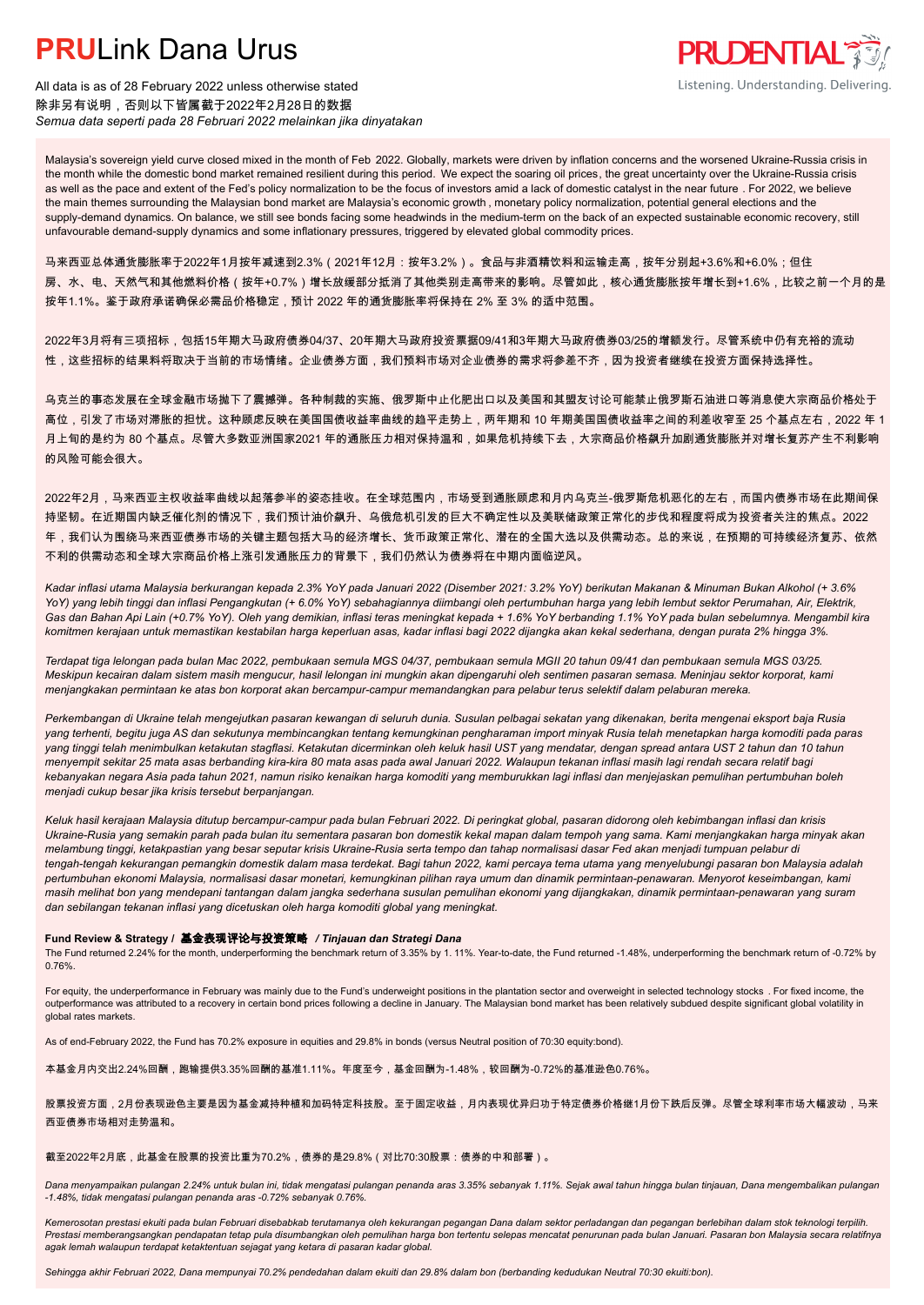

All data is as of 28 February 2022 unless otherwise stated 除非另有说明,否则以下皆属截于2022年2月28日的数据 *Semua data seperti pada 28 Februari 2022 melainkan jika dinyatakan*

Malaysia's sovereign yield curve closed mixed in the month of Feb 2022. Globally, markets were driven by inflation concerns and the worsened Ukraine-Russia crisis in the month while the domestic bond market remained resilient during this period. We expect the soaring oil prices, the great uncertainty over the Ukraine-Russia crisis as well as the pace and extent of the Fed's policy normalization to be the focus of investors amid a lack of domestic catalyst in the near future . For 2022, we believe the main themes surrounding the Malaysian bond market are Malaysia's economic growth , monetary policy normalization, potential general elections and the supply-demand dynamics. On balance, we still see bonds facing some headwinds in the medium-term on the back of an expected sustainable economic recovery, still unfavourable demand-supply dynamics and some inflationary pressures, triggered by elevated global commodity prices.

马来西亚总体通货膨胀率于2022年1月按年减速到2.3%(2021年12月:按年3.2%)。食品与非酒精饮料和运输走高,按年分别起+3.6%和+6.0%;但住 房、水、电、天然气和其他燃料价格(按年+0.7%)增长放缓部分抵消了其他类别走高带来的影响。尽管如此,核心通货膨胀按年增长到+1.6%,比较之前一个月的是 按年1.1%。鉴于政府承诺确保必需品价格稳定,预计 2022 年的通货膨胀率将保持在 2% 至 3% 的适中范围。

2022年3月将有三项招标,包括15年期大马政府债券04/37、20年期大马政府投资票据09/41和3年期大马政府债券03/25的增额发行。尽管系统中仍有充裕的流动 性,这些招标的结果料将取决于当前的市场情绪。企业债券方面,我们预料市场对企业债券的需求将参差不齐,因为投资者继续在投资方面保持选择性。

乌克兰的事态发展在全球金融市场抛下了震撼弹。各种制裁的实施、俄罗斯中止化肥出口以及美国和其盟友讨论可能禁止俄罗斯石油进口等消息使大宗商品价格处于 高位,引发了市场对滞胀的担忧。这种顾虑反映在美国国债收益率曲线的趋平走势上,两年期和 10 年期美国国债收益率之间的利差收窄至 25 个基点左右,2022 年 1 月上旬的是约为 80 个基点。尽管大多数亚洲国家2021 年的通胀压力相对保持温和,如果危机持续下去,大宗商品价格飙升加剧通货膨胀并对增长复苏产生不利影响 的风险可能会很大。

2022年2月,马来西亚主权收益率曲线以起落参半的姿态挂收。在全球范围内,市场受到通胀顾虑和月内乌克兰-俄罗斯危机恶化的左右,而国内债券市场在此期间保 持坚韧。在近期国内缺乏催化剂的情况下,我们预计油价飙升、乌俄危机引发的巨大不确定性以及美联储政策正常化的步伐和程度将成为投资者关注的焦点。2022 年,我们认为围绕马来西亚债券市场的关键主题包括大马的经济增长、货币政策正常化、潜在的全国大选以及供需动态。总的来说,在预期的可持续经济复苏、依然 不利的供需动态和全球大宗商品价格上涨引发通胀压力的背景下,我们仍然认为债券将在中期内面临逆风。

*Kadar inflasi utama Malaysia berkurangan kepada 2.3% YoY pada Januari 2022 (Disember 2021: 3.2% YoY) berikutan Makanan & Minuman Bukan Alkohol (+ 3.6% YoY) yang lebih tinggi dan inflasi Pengangkutan (+ 6.0% YoY) sebahagiannya diimbangi oleh pertumbuhan harga yang lebih lembut sektor Perumahan, Air, Elektrik, Gas dan Bahan Api Lain (+0.7% YoY). Oleh yang demikian, inflasi teras meningkat kepada + 1.6% YoY berbanding 1.1% YoY pada bulan sebelumnya. Mengambil kira komitmen kerajaan untuk memastikan kestabilan harga keperluan asas, kadar inflasi bagi 2022 dijangka akan kekal sederhana, dengan purata 2% hingga 3%.*

*Terdapat tiga lelongan pada bulan Mac 2022, pembukaan semula MGS 04/37, pembukaan semula MGII 20 tahun 09/41 dan pembukaan semula MGS 03/25. Meskipun kecairan dalam sistem masih mengucur, hasil lelongan ini mungkin akan dipengaruhi oleh sentimen pasaran semasa. Meninjau sektor korporat, kami menjangkakan permintaan ke atas bon korporat akan bercampur-campur memandangkan para pelabur terus selektif dalam pelaburan mereka.*

*Perkembangan di Ukraine telah mengejutkan pasaran kewangan di seluruh dunia. Susulan pelbagai sekatan yang dikenakan, berita mengenai eksport baja Rusia yang terhenti, begitu juga AS dan sekutunya membincangkan tentang kemungkinan pengharaman import minyak Rusia telah menetapkan harga komoditi pada paras yang tinggi telah menimbulkan ketakutan stagflasi. Ketakutan dicerminkan oleh keluk hasil UST yang mendatar, dengan spread antara UST 2 tahun dan 10 tahun menyempit sekitar 25 mata asas berbanding kira-kira 80 mata asas pada awal Januari 2022. Walaupun tekanan inflasi masih lagi rendah secara relatif bagi kebanyakan negara Asia pada tahun 2021, namun risiko kenaikan harga komoditi yang memburukkan lagi inflasi dan menjejaskan pemulihan pertumbuhan boleh menjadi cukup besar jika krisis tersebut berpanjangan.*

*Keluk hasil kerajaan Malaysia ditutup bercampur-campur pada bulan Februari 2022. Di peringkat global, pasaran didorong oleh kebimbangan inflasi dan krisis Ukraine-Rusia yang semakin parah pada bulan itu sementara pasaran bon domestik kekal mapan dalam tempoh yang sama. Kami menjangkakan harga minyak akan melambung tinggi, ketakpastian yang besar seputar krisis Ukraine-Rusia serta tempo dan tahap normalisasi dasar Fed akan menjadi tumpuan pelabur di tengah-tengah kekurangan pemangkin domestik dalam masa terdekat. Bagi tahun 2022, kami percaya tema utama yang menyelubungi pasaran bon Malaysia adalah pertumbuhan ekonomi Malaysia, normalisasi dasar monetari, kemungkinan pilihan raya umum dan dinamik permintaan-penawaran. Menyorot keseimbangan, kami masih melihat bon yang mendepani tantangan dalam jangka sederhana susulan pemulihan ekonomi yang dijangkakan, dinamik permintaan-penawaran yang suram dan sebilangan tekanan inflasi yang dicetuskan oleh harga komoditi global yang meningkat.*

#### **Fund Review & Strategy /** 基金表现评论与投资策略 */ Tinjauan dan Strategi Dana*

The Fund returned 2.24% for the month, underperforming the benchmark return of 3.35% by 1. 11%. Year-to-date, the Fund returned -1.48%, underperforming the benchmark return of -0.72% by 0.76%.

For equity, the underperformance in February was mainly due to the Fund's underweight positions in the plantation sector and overweight in selected technology stocks . For fixed income, the outperformance was attributed to a recovery in certain bond prices following a decline in January. The Malaysian bond market has been relatively subdued despite significant global volatility in global rates markets.

As of end-February 2022, the Fund has 70.2% exposure in equities and 29.8% in bonds (versus Neutral position of 70:30 equity:bond).

本基金月内交出2.24%回酬,跑输提供3.35%回酬的基准1.11%。年度至今,基金回酬为-1.48%,较回酬为-0.72%的基准逊色0.76%。

股票投资方面,2月份表现逊色主要是因为基金减持种植和加码特定科技股。至于固定收益,月内表现优异归功于特定债券价格继1月份下跌后反弹。尽管全球利率市场大幅波动,马来 西亚债券市场相对走势温和。

#### 截至2022年2月底,此基金在股票的投资比重为70.2%,债券的是29.8%(对比70:30股票:债券的中和部署)。

*Dana menyampaikan pulangan 2.24% untuk bulan ini, tidak mengatasi pulangan penanda aras 3.35% sebanyak 1.11%. Sejak awal tahun hingga bulan tinjauan, Dana mengembalikan pulangan -1.48%, tidak mengatasi pulangan penanda aras -0.72% sebanyak 0.76%.*

*Kemerosotan prestasi ekuiti pada bulan Februari disebabkab terutamanya oleh kekurangan pegangan Dana dalam sektor perladangan dan pegangan berlebihan dalam stok teknologi terpilih. Prestasi memberangsangkan pendapatan tetap pula disumbangkan oleh pemulihan harga bon tertentu selepas mencatat penurunan pada bulan Januari. Pasaran bon Malaysia secara relatifnya agak lemah walaupun terdapat ketaktentuan sejagat yang ketara di pasaran kadar global.*

*Sehingga akhir Februari 2022, Dana mempunyai 70.2% pendedahan dalam ekuiti dan 29.8% dalam bon (berbanding kedudukan Neutral 70:30 ekuiti:bon).*